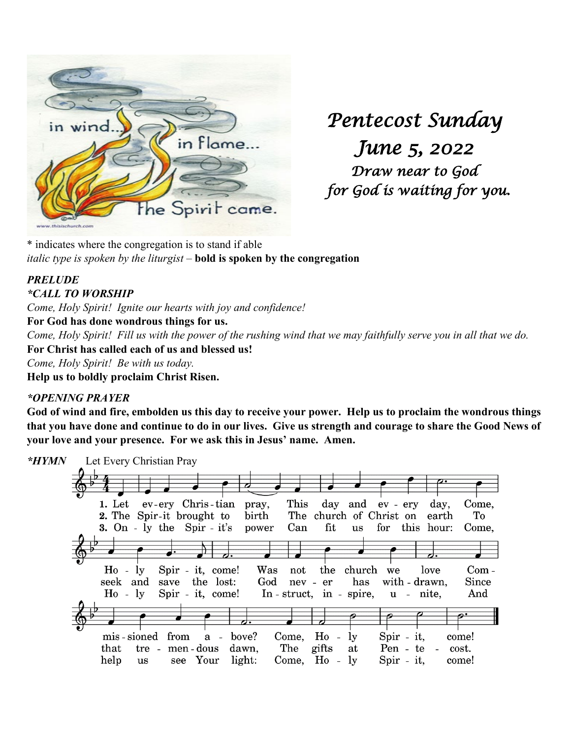

*Pentecost Sunday June 5, 2022 Draw near to God for God is waiting for you.* 

\* indicates where the congregation is to stand if able *italic type is spoken by the liturgist –* **bold is spoken by the congregation**

#### *PRELUDE \*CALL TO WORSHIP*

*Come, Holy Spirit! Ignite our hearts with joy and confidence!*

**For God has done wondrous things for us.**

*Come, Holy Spirit! Fill us with the power of the rushing wind that we may faithfully serve you in all that we do.*  **For Christ has called each of us and blessed us!**

*Come, Holy Spirit! Be with us today.*

**Help us to boldly proclaim Christ Risen.** 

## *\*OPENING PRAYER*

**God of wind and fire, embolden us this day to receive your power. Help us to proclaim the wondrous things that you have done and continue to do in our lives. Give us strength and courage to share the Good News of your love and your presence. For we ask this in Jesus' name. Amen.** 

*\*HYMN* Let Every Christian Pray 1. Let ev-ery Chris-tian This Come. pray. day and ev - erv dav. 2. The Spir-it brought to birth The church of Christ on To earth 3. On - ly the Spir - it's power Can fit  $\overline{u}$ s for this hour: Come,  $Ho - ly$ Spir - it. come! Was church we Comnot the love seek and save the lost: God nev - er has with - drawn. Since  $Ho - ly$ Spir - it, come! In  $-$  struct, in  $-$  spire, u - nite, And mis-sioned from  $a$ bove? Come.  $H_0$  $\mathbf{v}$ Spir - it. come!  $\overline{a}$ Pen - te that tre - men-dous dawn. The gifts at  $\sim$ cost. help see Your light: Come,  $Ho - ly$ Spir - it,  $\mathbf{u}\mathbf{s}$ come!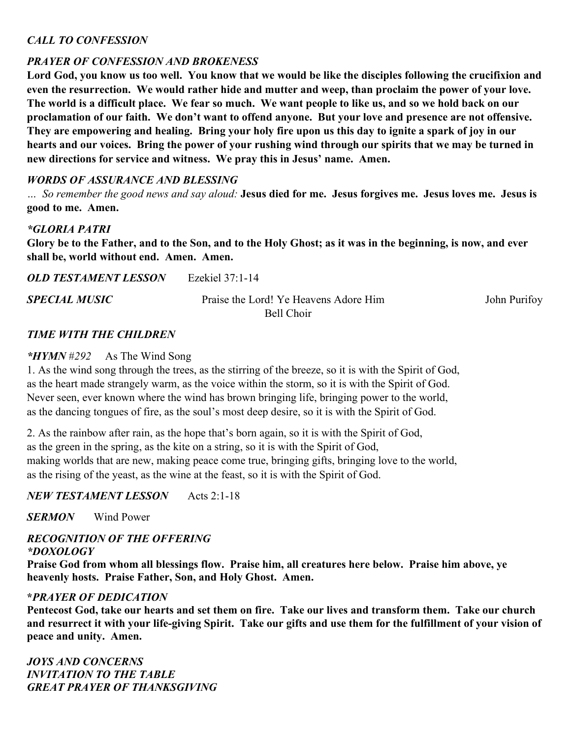#### *CALL TO CONFESSION*

# *PRAYER OF CONFESSION AND BROKENESS*

**Lord God, you know us too well. You know that we would be like the disciples following the crucifixion and even the resurrection. We would rather hide and mutter and weep, than proclaim the power of your love. The world is a difficult place. We fear so much. We want people to like us, and so we hold back on our proclamation of our faith. We don't want to offend anyone. But your love and presence are not offensive. They are empowering and healing. Bring your holy fire upon us this day to ignite a spark of joy in our hearts and our voices. Bring the power of your rushing wind through our spirits that we may be turned in new directions for service and witness. We pray this in Jesus' name. Amen.**

### *WORDS OF ASSURANCE AND BLESSING*

*… So remember the good news and say aloud:* **Jesus died for me. Jesus forgives me. Jesus loves me. Jesus is good to me. Amen.**

#### *\*GLORIA PATRI*

**Glory be to the Father, and to the Son, and to the Holy Ghost; as it was in the beginning, is now, and ever shall be, world without end. Amen. Amen.**

*OLD TESTAMENT LESSON* Ezekiel 37:1-14

**SPECIAL MUSIC** Praise the Lord! Ye Heavens Adore Him John Purifoy

Bell Choir

#### *TIME WITH THE CHILDREN*

#### *\*HYMN* #*292* As The Wind Song

1. As the wind song through the trees, as the stirring of the breeze, so it is with the Spirit of God, as the heart made strangely warm, as the voice within the storm, so it is with the Spirit of God. Never seen, ever known where the wind has brown bringing life, bringing power to the world, as the dancing tongues of fire, as the soul's most deep desire, so it is with the Spirit of God.

2. As the rainbow after rain, as the hope that's born again, so it is with the Spirit of God, as the green in the spring, as the kite on a string, so it is with the Spirit of God, making worlds that are new, making peace come true, bringing gifts, bringing love to the world, as the rising of the yeast, as the wine at the feast, so it is with the Spirit of God.

### *NEW TESTAMENT LESSON* Acts 2:1-18

*SERMON* Wind Power

#### *RECOGNITION OF THE OFFERING \*DOXOLOGY*

**Praise God from whom all blessings flow. Praise him, all creatures here below. Praise him above, ye heavenly hosts. Praise Father, Son, and Holy Ghost. Amen.**

#### **\****PRAYER OF DEDICATION*

**Pentecost God, take our hearts and set them on fire. Take our lives and transform them. Take our church and resurrect it with your life-giving Spirit. Take our gifts and use them for the fulfillment of your vision of peace and unity. Amen.**

*JOYS AND CONCERNS INVITATION TO THE TABLE GREAT PRAYER OF THANKSGIVING*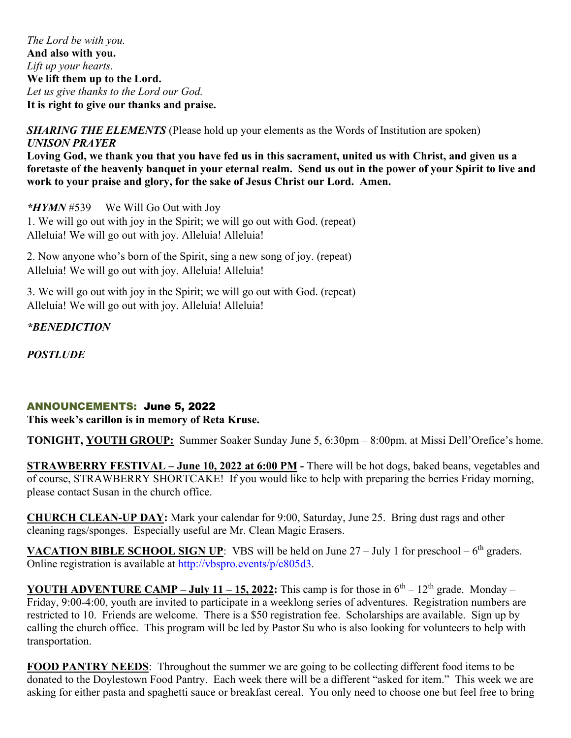*The Lord be with you.*  **And also with you.** *Lift up your hearts.*  **We lift them up to the Lord.** *Let us give thanks to the Lord our God.*  **It is right to give our thanks and praise.**

#### *SHARING THE ELEMENTS* (Please hold up your elements as the Words of Institution are spoken) *UNISON PRAYER*

**Loving God, we thank you that you have fed us in this sacrament, united us with Christ, and given us a foretaste of the heavenly banquet in your eternal realm. Send us out in the power of your Spirit to live and work to your praise and glory, for the sake of Jesus Christ our Lord. Amen.**

*\*HYMN* #539 We Will Go Out with Joy 1. We will go out with joy in the Spirit; we will go out with God. (repeat) Alleluia! We will go out with joy. Alleluia! Alleluia!

2. Now anyone who's born of the Spirit, sing a new song of joy. (repeat) Alleluia! We will go out with joy. Alleluia! Alleluia!

3. We will go out with joy in the Spirit; we will go out with God. (repeat) Alleluia! We will go out with joy. Alleluia! Alleluia!

*\*BENEDICTION*

*POSTLUDE*

### ANNOUNCEMENTS: June 5, 2022

**This week's carillon is in memory of Reta Kruse.**

**TONIGHT, YOUTH GROUP:** Summer Soaker Sunday June 5, 6:30pm – 8:00pm. at Missi Dell'Orefice's home.

**STRAWBERRY FESTIVAL – June 10, 2022 at 6:00 PM -** There will be hot dogs, baked beans, vegetables and of course, STRAWBERRY SHORTCAKE! If you would like to help with preparing the berries Friday morning, please contact Susan in the church office.

**CHURCH CLEAN-UP DAY:** Mark your calendar for 9:00, Saturday, June 25. Bring dust rags and other cleaning rags/sponges. Especially useful are Mr. Clean Magic Erasers.

**VACATION BIBLE SCHOOL SIGN UP**: VBS will be held on June 27 – July 1 for preschool – 6<sup>th</sup> graders. Online registration is available at [http://vbspro.events/p/c805d3.](http://vbspro.events/p/c805d3)

**YOUTH ADVENTURE CAMP – July 11 – 15, 2022:** This camp is for those in  $6<sup>th</sup> - 12<sup>th</sup>$  grade. Monday – Friday, 9:00-4:00, youth are invited to participate in a weeklong series of adventures. Registration numbers are restricted to 10. Friends are welcome. There is a \$50 registration fee. Scholarships are available. Sign up by calling the church office. This program will be led by Pastor Su who is also looking for volunteers to help with transportation.

**FOOD PANTRY NEEDS**: Throughout the summer we are going to be collecting different food items to be donated to the Doylestown Food Pantry. Each week there will be a different "asked for item." This week we are asking for either pasta and spaghetti sauce or breakfast cereal. You only need to choose one but feel free to bring